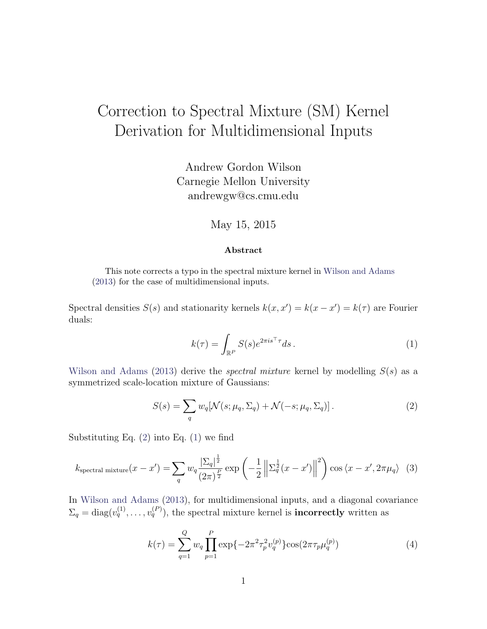## Correction to Spectral Mixture (SM) Kernel Derivation for Multidimensional Inputs

Andrew Gordon Wilson Carnegie Mellon University andrewgw@cs.cmu.edu

## May 15, 2015

## <span id="page-0-1"></span>Abstract

This note corrects a typo in the spectral mixture kernel in [Wilson and Adams](#page-1-0) [\(2013\)](#page-1-0) for the case of multidimensional inputs.

Spectral densities  $S(s)$  and stationarity kernels  $k(x, x') = k(x - x') = k(\tau)$  are Fourier duals:

<span id="page-0-0"></span>
$$
k(\tau) = \int_{\mathbb{R}^P} S(s)e^{2\pi i s^\top \tau} ds.
$$
 (1)

[Wilson and Adams](#page-1-0) [\(2013\)](#page-1-0) derive the *spectral mixture* kernel by modelling  $S(s)$  as a symmetrized scale-location mixture of Gaussians:

$$
S(s) = \sum_{q} w_q[\mathcal{N}(s; \mu_q, \Sigma_q) + \mathcal{N}(-s; \mu_q, \Sigma_q)].
$$
\n(2)

Substituting Eq.  $(2)$  into Eq.  $(1)$  we find

$$
k_{\text{spectral mixture}}(x - x') = \sum_{q} w_q \frac{|\Sigma_q|^{\frac{1}{2}}}{(2\pi)^{\frac{P}{2}}} \exp\left(-\frac{1}{2} \left\| \Sigma_q^{\frac{1}{2}}(x - x') \right\|^2 \right) \cos\left\langle x - x', 2\pi\mu_q \right\rangle \tag{3}
$$

In [Wilson and Adams](#page-1-0) [\(2013\)](#page-1-0), for multidimensional inputs, and a diagonal covariance  $\Sigma_q = \text{diag}(v_q^{(1)}, \dots, v_q^{(P)}),$  the spectral mixture kernel is **incorrectly** written as

<span id="page-0-2"></span>
$$
k(\tau) = \sum_{q=1}^{Q} w_q \prod_{p=1}^{P} \exp\{-2\pi^2 \tau_p^2 v_q^{(p)}\} \cos(2\pi \tau_p \mu_q^{(p)})
$$
(4)